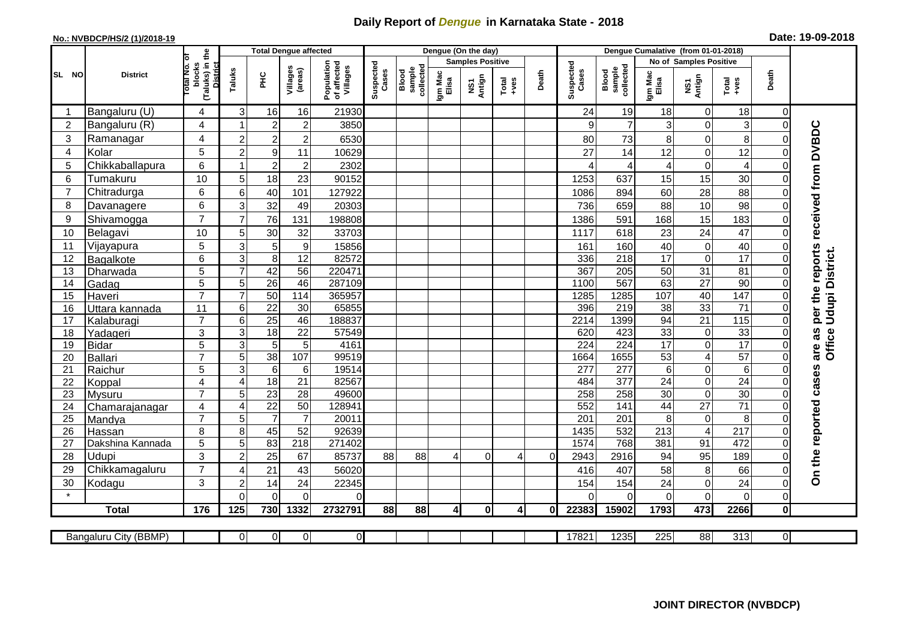## **Daily Report of** *Dengue* **in Karnataka State - 2018**

| Date: 19-09-2018<br>No.: NVBDCP/HS/2 (1)/2018-19<br>Denque Cumalative (from 01-01-2018)                                                           |                |                            |                                     |                            |                      |                              |                                       |                    |                              |                         |                     |                |              |                    |                              |                        |                               |                  |                            |                                     |
|---------------------------------------------------------------------------------------------------------------------------------------------------|----------------|----------------------------|-------------------------------------|----------------------------|----------------------|------------------------------|---------------------------------------|--------------------|------------------------------|-------------------------|---------------------|----------------|--------------|--------------------|------------------------------|------------------------|-------------------------------|------------------|----------------------------|-------------------------------------|
|                                                                                                                                                   |                | <b>District</b>            | the                                 |                            |                      | <b>Total Dengue affected</b> |                                       |                    |                              |                         | Dengue (On the day) |                |              |                    |                              |                        |                               |                  |                            |                                     |
| SL NO                                                                                                                                             |                |                            |                                     |                            |                      |                              |                                       |                    | Blood<br>sample<br>collected | <b>Samples Positive</b> |                     |                |              |                    |                              | No of Samples Positive |                               |                  |                            |                                     |
|                                                                                                                                                   |                |                            | blocks<br>(Taluks) in t<br>District | Taluks                     | 꾿                    | Villages<br>(areas)          | Population<br>of affected<br>Villages | Suspected<br>Cases |                              | Igm Mac<br>Elisa        | NS1<br>Antign       | $Total$        | Death        | Suspected<br>Cases | Blood<br>sample<br>collected | Igm Mac<br>Elisa       | NS1<br>Antign                 | $Tota$<br>$+ves$ | Death                      |                                     |
| -1                                                                                                                                                |                | Bangaluru (U)              | 4                                   | $\mathbf{3}$               | 16                   | 16                           | 21930                                 |                    |                              |                         |                     |                |              | 24                 | 19                           | 18                     | $\overline{0}$                | 18               | 0                          |                                     |
|                                                                                                                                                   | $\overline{2}$ | Bangaluru (R)              | 4                                   | $\overline{1}$             | $\overline{c}$       | $\overline{2}$               | 3850                                  |                    |                              |                         |                     |                |              | 9                  | $\overline{7}$               | 3                      | $\mathbf 0$                   | 3                | $\overline{0}$             |                                     |
|                                                                                                                                                   | 3              | Ramanagar                  | 4                                   | $\overline{c}$             | $\overline{2}$       | $\overline{c}$               | 6530                                  |                    |                              |                         |                     |                |              | 80                 | 73                           | 8                      | $\mathbf 0$                   | 8                | 0                          | per the reports received from DVBDC |
|                                                                                                                                                   | 4              | Kolar                      | 5                                   | $\overline{c}$             | $\overline{9}$       | 11                           | 10629                                 |                    |                              |                         |                     |                |              | 27                 | 14                           | 12                     | $\mathbf 0$                   | $\overline{12}$  | $\Omega$                   |                                     |
|                                                                                                                                                   | 5              | Chikkaballapura            | 6                                   | 1                          | $\overline{2}$       | $\overline{c}$               | 2302                                  |                    |                              |                         |                     |                |              | $\overline{4}$     | 4                            |                        | $\mathsf{O}\xspace$           | 4                | 0                          |                                     |
|                                                                                                                                                   | 6              | Tumakuru                   | 10                                  | 5                          | 18                   | 23                           | 90152                                 |                    |                              |                         |                     |                |              | 1253               | 637                          | 15                     | $\overline{15}$               | 30               | 0                          |                                     |
|                                                                                                                                                   | $\overline{7}$ | Chitradurga                | 6                                   | 6                          | 40                   | 101                          | 127922                                |                    |                              |                         |                     |                |              | 1086               | 894                          | 60                     | 28                            | 88               | $\Omega$                   |                                     |
|                                                                                                                                                   | 8              | Davanagere                 | 6                                   | 3                          | 32                   | 49                           | 20303                                 |                    |                              |                         |                     |                |              | 736                | 659                          | 88                     | 10                            | 98               | $\Omega$                   |                                     |
| 9                                                                                                                                                 |                | Shivamogga                 | $\overline{7}$                      | $\overline{7}$             | 76                   | 131                          | 198808                                |                    |                              |                         |                     |                |              | 1386               | 591                          | 168                    | 15                            | 183              | 0                          |                                     |
|                                                                                                                                                   | 10             | Belagavi                   | 10                                  | 5                          | 30                   | 32                           | 33703                                 |                    |                              |                         |                     |                |              | 1117               | 618                          | 23                     | 24                            | 47               | $\Omega$                   |                                     |
| 11                                                                                                                                                |                | Vijayapura                 | 5                                   | 3                          | 5                    | 9                            | 15856                                 |                    |                              |                         |                     |                |              | 161                | 160                          | 40                     | $\mathbf 0$                   | 40               | $\Omega$                   |                                     |
|                                                                                                                                                   | 12             | Bagalkote                  | 6                                   | $\overline{3}$             | $\overline{8}$       | 12                           | 82572                                 |                    |                              |                         |                     |                |              | 336                | $\overline{218}$             | 17                     | $\pmb{0}$                     | 17               | $\Omega$                   | Udupi District.                     |
|                                                                                                                                                   | 13             | Dharwada                   | 5                                   | $\overline{7}$             | 42                   | 56                           | 220471                                |                    |                              |                         |                     |                |              | 367                | $\overline{205}$             | 50                     | 31                            | 81               | 0                          |                                     |
|                                                                                                                                                   | 14             | Gadag                      | 5                                   | 5                          | $\overline{26}$      | 46                           | 287109                                |                    |                              |                         |                     |                |              | 1100               | 567                          | 63                     | $\overline{27}$               | 90               | 0                          |                                     |
|                                                                                                                                                   | 15             | Haveri                     | $\overline{7}$                      | $\overline{7}$             | 50                   | 114                          | 365957                                |                    |                              |                         |                     |                |              | 1285               | 1285                         | 107                    | 40                            | 147              | $\Omega$                   |                                     |
|                                                                                                                                                   | 16             | Uttara kannada             | 11                                  | 6                          | $\overline{22}$      | 30                           | 65855                                 |                    |                              |                         |                     |                |              | 396                | 219                          | 38                     | 33                            | $\overline{71}$  | $\Omega$                   |                                     |
| 17                                                                                                                                                |                | Kalaburagi                 | $\overline{7}$                      | $\overline{6}$             | $\overline{25}$      | 46                           | 188837                                |                    |                              |                         |                     |                |              | 2214               | 1399                         | 94                     | 21                            | 115              | 0                          |                                     |
|                                                                                                                                                   | 18             | Yadageri                   | 3                                   | $\mathsf 3$                | $\overline{18}$      | 22                           | 57549                                 |                    |                              |                         |                     |                |              | 620                | 423                          | 33                     | $\mathbf 0$                   | 33               | $\Omega$                   | are as<br>Office                    |
|                                                                                                                                                   | 19             | <b>Bidar</b>               | 5                                   | $\overline{3}$             | 5                    | $5\phantom{.0}$              | 4161                                  |                    |                              |                         |                     |                |              | 224                | $\overline{224}$             | $\overline{17}$        | $\mathbf 0$                   | 17               | 0                          |                                     |
|                                                                                                                                                   | 20             | Ballari                    | $\overline{7}$                      | 5                          | 38                   | 107                          | 99519                                 |                    |                              |                         |                     |                |              | 1664               | 1655                         | 53                     | $\overline{4}$                | 57               |                            |                                     |
|                                                                                                                                                   | 21             | Raichur                    | 5                                   | $\overline{3}$             | $\,6$                | $6\phantom{1}$               | 19514                                 |                    |                              |                         |                     |                |              | 277                | 277                          | 6                      | $\mathsf{O}\xspace$           | 6                | $\Omega$                   |                                     |
|                                                                                                                                                   | 22             | Koppal                     | 4                                   | $\overline{\mathbf{4}}$    | $\overline{18}$      | $\overline{21}$              | 82567                                 |                    |                              |                         |                     |                |              | 484                | $\overline{377}$             | 24                     | $\overline{0}$                | $\overline{24}$  | $\overline{0}$             |                                     |
|                                                                                                                                                   | 23             | <b>Mysuru</b>              | $\overline{7}$                      | 5                          | 23                   | 28                           | 49600                                 |                    |                              |                         |                     |                |              | 258                | $\overline{258}$             | 30                     | $\pmb{0}$                     | 30               | $\Omega$                   |                                     |
|                                                                                                                                                   | 24             | Chamarajanagar             | 4<br>$\overline{7}$                 | $\overline{4}$             | $\overline{22}$      | 50<br>$\overline{7}$         | 128941                                |                    |                              |                         |                     |                |              | 552                | $\overline{141}$             | 44                     | 27                            | $\overline{71}$  | 0                          |                                     |
|                                                                                                                                                   | 25             | Mandya                     |                                     | 5<br>8                     | $\overline{7}$       | 52                           | 20011<br>92639                        |                    |                              |                         |                     |                |              | 201<br>1435        | 201<br>532                   | 8<br>213               | $\mathbf 0$<br>$\overline{4}$ | 8<br>217         | $\Omega$<br>$\overline{0}$ |                                     |
|                                                                                                                                                   | 26<br>27       | Hassan<br>Dakshina Kannada | 8<br>5                              | $\overline{5}$             | 45<br>83             | $\overline{218}$             | 271402                                |                    |                              |                         |                     |                |              | 1574               | 768                          | 381                    | 91                            | 472              | $\overline{0}$             |                                     |
|                                                                                                                                                   | 28             | Udupi                      | 3                                   | $\overline{c}$             | $\overline{25}$      | 67                           | 85737                                 | 88                 | 88                           | 4                       | $\mathbf 0$         | $\overline{4}$ | 0            | 2943               | 2916                         | 94                     | 95                            | 189              | $\Omega$                   | On the reported cases               |
|                                                                                                                                                   | 29             | Chikkamagaluru             | $\overline{7}$                      |                            | 21                   | 43                           |                                       |                    |                              |                         |                     |                |              |                    | 407                          | 58                     | $\,8\,$                       | 66               | $\Omega$                   |                                     |
|                                                                                                                                                   | 30             |                            | 3                                   | $\overline{4}$             |                      | 24                           | 56020                                 |                    |                              |                         |                     |                |              | 416<br>154         | 154                          | 24                     |                               | 24               |                            |                                     |
|                                                                                                                                                   |                | Kodagu                     |                                     | $\overline{c}$<br>$\Omega$ | 14<br>$\overline{0}$ | $\mathbf 0$                  | 22345<br>$\Omega$                     |                    |                              |                         |                     |                |              | $\Omega$           | $\Omega$                     | $\Omega$               | $\pmb{0}$<br>$\overline{0}$   | 0                | $\overline{0}$             |                                     |
|                                                                                                                                                   |                | <b>Total</b>               | 176                                 | 125                        | 730                  | 1332                         | 2732791                               | 88                 | 88                           | 4                       |                     | $\overline{4}$ | $\mathbf{0}$ | 22383              | 15902                        | 1793                   | 473                           | 2266             | 0<br>$\mathbf 0$           |                                     |
|                                                                                                                                                   |                |                            |                                     |                            |                      |                              |                                       |                    |                              |                         | 0                   |                |              |                    |                              |                        |                               |                  |                            |                                     |
| 88<br>313<br>$\mathbf 0$<br>$\overline{0}$<br>$\overline{0}$<br>$\overline{0}$<br>17821<br>1235<br>225<br>$\overline{0}$<br>Bangaluru City (BBMP) |                |                            |                                     |                            |                      |                              |                                       |                    |                              |                         |                     |                |              |                    |                              |                        |                               |                  |                            |                                     |
|                                                                                                                                                   |                |                            |                                     |                            |                      |                              |                                       |                    |                              |                         |                     |                |              |                    |                              |                        |                               |                  |                            |                                     |